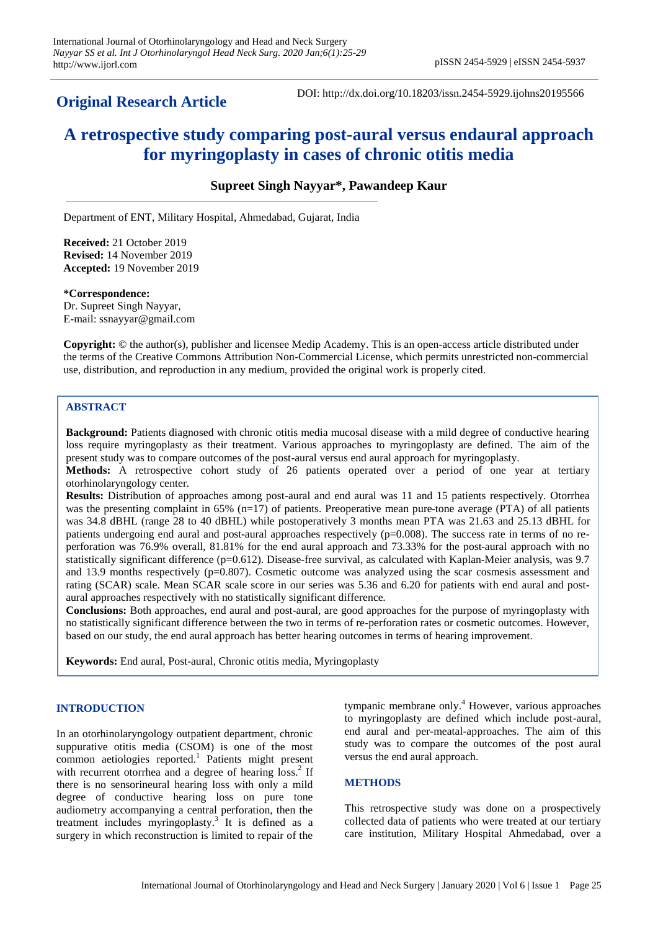# **Original Research Article**

DOI: http://dx.doi.org/10.18203/issn.2454-5929.ijohns20195566

# **A retrospective study comparing post-aural versus endaural approach for myringoplasty in cases of chronic otitis media**

# **Supreet Singh Nayyar\*, Pawandeep Kaur**

Department of ENT, Military Hospital, Ahmedabad, Gujarat, India

**Received:** 21 October 2019 **Revised:** 14 November 2019 **Accepted:** 19 November 2019

**\*Correspondence:**

Dr. Supreet Singh Nayyar, E-mail: ssnayyar@gmail.com

**Copyright:** © the author(s), publisher and licensee Medip Academy. This is an open-access article distributed under the terms of the Creative Commons Attribution Non-Commercial License, which permits unrestricted non-commercial use, distribution, and reproduction in any medium, provided the original work is properly cited.

# **ABSTRACT**

**Background:** Patients diagnosed with chronic otitis media mucosal disease with a mild degree of conductive hearing loss require myringoplasty as their treatment. Various approaches to myringoplasty are defined. The aim of the present study was to compare outcomes of the post-aural versus end aural approach for myringoplasty.

**Methods:** A retrospective cohort study of 26 patients operated over a period of one year at tertiary otorhinolaryngology center.

**Results:** Distribution of approaches among post-aural and end aural was 11 and 15 patients respectively. Otorrhea was the presenting complaint in 65% (n=17) of patients. Preoperative mean pure-tone average (PTA) of all patients was 34.8 dBHL (range 28 to 40 dBHL) while postoperatively 3 months mean PTA was 21.63 and 25.13 dBHL for patients undergoing end aural and post-aural approaches respectively (p=0.008). The success rate in terms of no reperforation was 76.9% overall, 81.81% for the end aural approach and 73.33% for the post-aural approach with no statistically significant difference (p=0.612). Disease-free survival, as calculated with Kaplan-Meier analysis, was 9.7 and 13.9 months respectively (p=0.807). Cosmetic outcome was analyzed using the scar cosmesis assessment and rating (SCAR) scale. Mean SCAR scale score in our series was 5.36 and 6.20 for patients with end aural and postaural approaches respectively with no statistically significant difference.

**Conclusions:** Both approaches, end aural and post-aural, are good approaches for the purpose of myringoplasty with no statistically significant difference between the two in terms of re-perforation rates or cosmetic outcomes. However, based on our study, the end aural approach has better hearing outcomes in terms of hearing improvement.

**Keywords:** End aural, Post-aural, Chronic otitis media, Myringoplasty

# **INTRODUCTION**

In an otorhinolaryngology outpatient department, chronic suppurative otitis media (CSOM) is one of the most common aetiologies reported. 1 Patients might present with recurrent otorrhea and a degree of hearing loss.<sup>2</sup> If there is no sensorineural hearing loss with only a mild degree of conductive hearing loss on pure tone audiometry accompanying a central perforation, then the treatment includes myringoplasty. 3 It is defined as a surgery in which reconstruction is limited to repair of the

tympanic membrane only. <sup>4</sup> However, various approaches to myringoplasty are defined which include post-aural, end aural and per-meatal-approaches. The aim of this study was to compare the outcomes of the post aural versus the end aural approach.

# **METHODS**

This retrospective study was done on a prospectively collected data of patients who were treated at our tertiary care institution, Military Hospital Ahmedabad, over a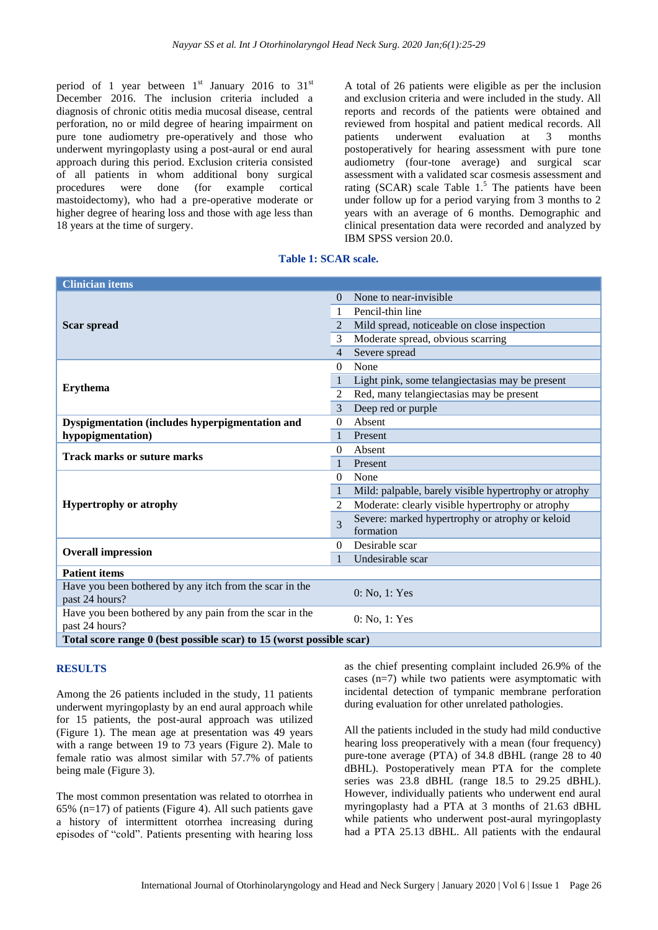period of 1 year between  $1<sup>st</sup>$  January 2016 to 31<sup>st</sup> December 2016. The inclusion criteria included a diagnosis of chronic otitis media mucosal disease, central perforation, no or mild degree of hearing impairment on pure tone audiometry pre-operatively and those who underwent myringoplasty using a post-aural or end aural approach during this period. Exclusion criteria consisted of all patients in whom additional bony surgical procedures were done (for example cortical mastoidectomy), who had a pre-operative moderate or higher degree of hearing loss and those with age less than 18 years at the time of surgery.

A total of 26 patients were eligible as per the inclusion and exclusion criteria and were included in the study. All reports and records of the patients were obtained and reviewed from hospital and patient medical records. All patients underwent evaluation at 3 months postoperatively for hearing assessment with pure tone audiometry (four-tone average) and surgical scar assessment with a validated scar cosmesis assessment and rating (SCAR) scale Table  $1<sup>5</sup>$ . The patients have been under follow up for a period varying from 3 months to 2 years with an average of 6 months. Demographic and clinical presentation data were recorded and analyzed by IBM SPSS version 20.0.

**Table 1: SCAR scale.**

| <b>Clinician items</b>                                                    |                |                                                       |
|---------------------------------------------------------------------------|----------------|-------------------------------------------------------|
| <b>Scar spread</b>                                                        | $\Omega$       | None to near-invisible.                               |
|                                                                           | -1             | Pencil-thin line                                      |
|                                                                           | $\mathcal{L}$  | Mild spread, noticeable on close inspection           |
|                                                                           | 3              | Moderate spread, obvious scarring                     |
|                                                                           | 4              | Severe spread                                         |
| <b>Erythema</b>                                                           | 0              | None                                                  |
|                                                                           |                | Light pink, some telangiectasias may be present       |
|                                                                           | 2              | Red, many telangiectasias may be present              |
|                                                                           | 3              | Deep red or purple                                    |
| Dyspigmentation (includes hyperpigmentation and                           | $\Omega$       | Absent                                                |
| hypopigmentation)                                                         | $\mathbf{1}$   | Present                                               |
| <b>Track marks or suture marks</b>                                        | $\theta$       | Absent                                                |
|                                                                           |                | Present                                               |
| <b>Hypertrophy or atrophy</b>                                             | 0              | None                                                  |
|                                                                           | 1              | Mild: palpable, barely visible hypertrophy or atrophy |
|                                                                           | $\mathfrak{D}$ | Moderate: clearly visible hypertrophy or atrophy      |
|                                                                           | 3              | Severe: marked hypertrophy or atrophy or keloid       |
|                                                                           |                | formation                                             |
| <b>Overall impression</b>                                                 | $\Omega$       | Desirable scar                                        |
|                                                                           | $\mathbf{1}$   | Undesirable scar                                      |
| <b>Patient items</b>                                                      |                |                                                       |
| Have you been bothered by any itch from the scar in the<br>past 24 hours? |                | 0: No, 1: Yes                                         |
| Have you been bothered by any pain from the scar in the<br>past 24 hours? |                | 0: No, 1: Yes                                         |
| Total score range 0 (best possible scar) to 15 (worst possible scar)      |                |                                                       |

#### **RESULTS**

Among the 26 patients included in the study, 11 patients underwent myringoplasty by an end aural approach while for 15 patients, the post-aural approach was utilized (Figure 1). The mean age at presentation was 49 years with a range between 19 to 73 years (Figure 2). Male to female ratio was almost similar with 57.7% of patients being male (Figure 3).

The most common presentation was related to otorrhea in 65% ( $n=17$ ) of patients (Figure 4). All such patients gave a history of intermittent otorrhea increasing during episodes of "cold". Patients presenting with hearing loss

as the chief presenting complaint included 26.9% of the cases (n=7) while two patients were asymptomatic with incidental detection of tympanic membrane perforation during evaluation for other unrelated pathologies.

All the patients included in the study had mild conductive hearing loss preoperatively with a mean (four frequency) pure-tone average (PTA) of 34.8 dBHL (range 28 to 40 dBHL). Postoperatively mean PTA for the complete series was  $23.8$  dBHL (range  $18.5$  to  $29.25$  dBHL). However, individually patients who underwent end aural myringoplasty had a PTA at 3 months of 21.63 dBHL while patients who underwent post-aural myringoplasty had a PTA 25.13 dBHL. All patients with the endaural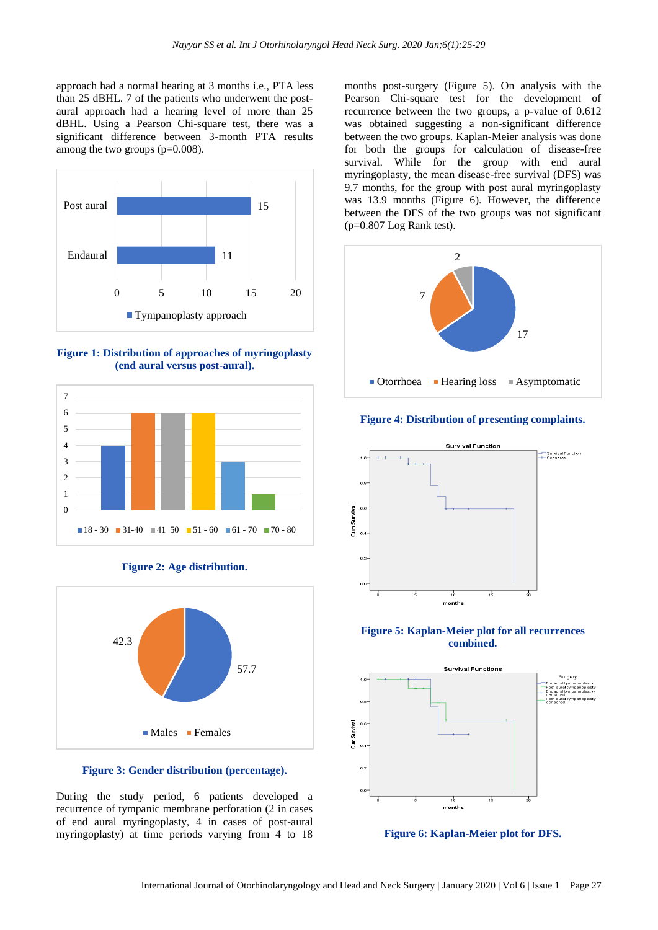approach had a normal hearing at 3 months i.e., PTA less than 25 dBHL. 7 of the patients who underwent the postaural approach had a hearing level of more than 25 dBHL. Using a Pearson Chi-square test, there was a significant difference between 3-month PTA results among the two groups (p=0.008).



**Figure 1: Distribution of approaches of myringoplasty (end aural versus post-aural).**



**Figure 2: Age distribution.**



**Figure 3: Gender distribution (percentage).**

During the study period, 6 patients developed a recurrence of tympanic membrane perforation (2 in cases of end aural myringoplasty, 4 in cases of post-aural myringoplasty) at time periods varying from 4 to 18

months post-surgery (Figure 5). On analysis with the Pearson Chi-square test for the development of recurrence between the two groups, a p-value of 0.612 was obtained suggesting a non-significant difference between the two groups. Kaplan-Meier analysis was done for both the groups for calculation of disease-free survival. While for the group with end aural myringoplasty, the mean disease-free survival (DFS) was 9.7 months, for the group with post aural myringoplasty was 13.9 months (Figure 6). However, the difference between the DFS of the two groups was not significant  $(p=0.807$  Log Rank test).



# **Figure 4: Distribution of presenting complaints.**



#### **Figure 5: Kaplan-Meier plot for all recurrences combined.**



**Figure 6: Kaplan-Meier plot for DFS.**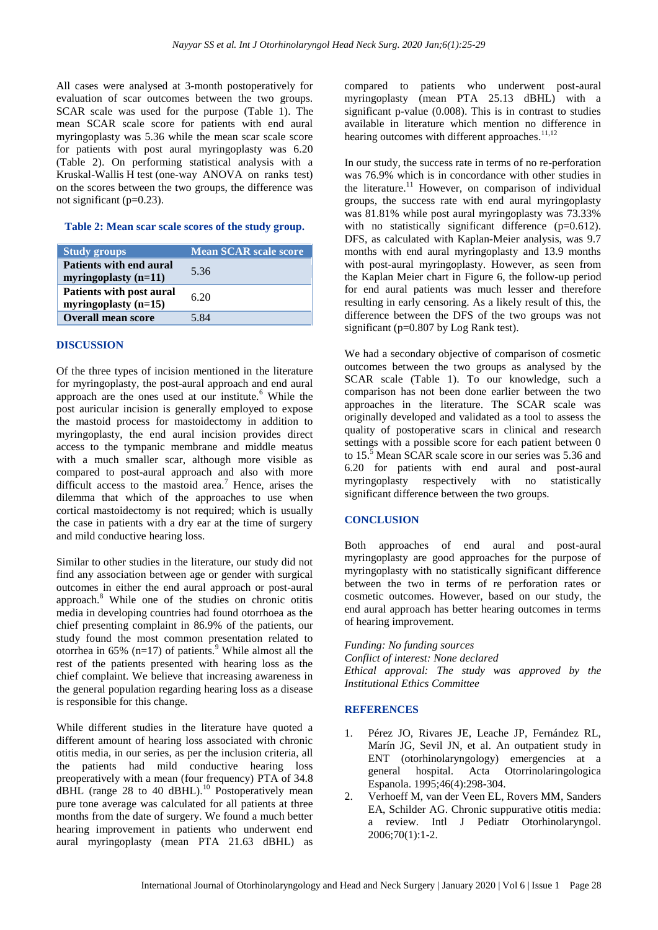All cases were analysed at 3-month postoperatively for evaluation of scar outcomes between the two groups. SCAR scale was used for the purpose (Table 1). The mean SCAR scale score for patients with end aural myringoplasty was 5.36 while the mean scar scale score for patients with post aural myringoplasty was 6.20 (Table 2). On performing statistical analysis with a Kruskal-Wallis H test (one-way ANOVA on ranks test) on the scores between the two groups, the difference was not significant  $(p=0.23)$ .

# **Table 2: Mean scar scale scores of the study group.**

| <b>Study groups</b>                                | <b>Mean SCAR scale score</b> |
|----------------------------------------------------|------------------------------|
| Patients with end aural<br>myringoplasty $(n=11)$  | 5.36                         |
| Patients with post aural<br>myringoplasty $(n=15)$ | 6.20                         |
| <b>Overall mean score</b>                          | 5.84                         |

# **DISCUSSION**

Of the three types of incision mentioned in the literature for myringoplasty, the post-aural approach and end aural approach are the ones used at our institute. $<sup>6</sup>$  While the</sup> post auricular incision is generally employed to expose the mastoid process for mastoidectomy in addition to myringoplasty, the end aural incision provides direct access to the tympanic membrane and middle meatus with a much smaller scar, although more visible as compared to post-aural approach and also with more difficult access to the mastoid area.<sup>7</sup> Hence, arises the dilemma that which of the approaches to use when cortical mastoidectomy is not required; which is usually the case in patients with a dry ear at the time of surgery and mild conductive hearing loss.

Similar to other studies in the literature, our study did not find any association between age or gender with surgical outcomes in either the end aural approach or post-aural approach.<sup>8</sup> While one of the studies on chronic otitis media in developing countries had found otorrhoea as the chief presenting complaint in 86.9% of the patients, our study found the most common presentation related to otorrhea in 65% (n=17) of patients.<sup>9</sup> While almost all the rest of the patients presented with hearing loss as the chief complaint. We believe that increasing awareness in the general population regarding hearing loss as a disease is responsible for this change.

While different studies in the literature have quoted a different amount of hearing loss associated with chronic otitis media, in our series, as per the inclusion criteria, all the patients had mild conductive hearing loss preoperatively with a mean (four frequency) PTA of 34.8 dBHL (range  $28$  to  $40$  dBHL).<sup>10</sup> Postoperatively mean pure tone average was calculated for all patients at three months from the date of surgery. We found a much better hearing improvement in patients who underwent end aural myringoplasty (mean PTA 21.63 dBHL) as compared to patients who underwent post-aural myringoplasty (mean PTA 25.13 dBHL) with a significant p-value (0.008). This is in contrast to studies available in literature which mention no difference in hearing outcomes with different approaches.<sup>11,12</sup>

In our study, the success rate in terms of no re-perforation was 76.9% which is in concordance with other studies in the literature.<sup>11</sup> However, on comparison of individual groups, the success rate with end aural myringoplasty was 81.81% while post aural myringoplasty was 73.33% with no statistically significant difference (p=0.612). DFS, as calculated with Kaplan-Meier analysis, was 9.7 months with end aural myringoplasty and 13.9 months with post-aural myringoplasty. However, as seen from the Kaplan Meier chart in Figure 6, the follow-up period for end aural patients was much lesser and therefore resulting in early censoring. As a likely result of this, the difference between the DFS of the two groups was not significant (p=0.807 by Log Rank test).

We had a secondary objective of comparison of cosmetic outcomes between the two groups as analysed by the SCAR scale (Table 1). To our knowledge, such a comparison has not been done earlier between the two approaches in the literature. The SCAR scale was originally developed and validated as a tool to assess the quality of postoperative scars in clinical and research settings with a possible score for each patient between 0 to 15. <sup>5</sup> Mean SCAR scale score in our series was 5.36 and 6.20 for patients with end aural and post-aural myringoplasty respectively with no statistically significant difference between the two groups.

# **CONCLUSION**

Both approaches of end aural and post-aural myringoplasty are good approaches for the purpose of myringoplasty with no statistically significant difference between the two in terms of re perforation rates or cosmetic outcomes. However, based on our study, the end aural approach has better hearing outcomes in terms of hearing improvement.

*Funding: No funding sources Conflict of interest: None declared Ethical approval: The study was approved by the Institutional Ethics Committee*

# **REFERENCES**

- 1. Pérez JO, Rivares JE, Leache JP, Fernández RL, Marín JG, Sevil JN, et al. An outpatient study in ENT (otorhinolaryngology) emergencies at a general hospital. Acta Otorrinolaringologica Espanola. 1995;46(4):298-304.
- 2. Verhoeff M, van der Veen EL, Rovers MM, Sanders EA, Schilder AG. Chronic suppurative otitis media: a review. Intl J Pediatr Otorhinolaryngol. 2006;70(1):1-2.